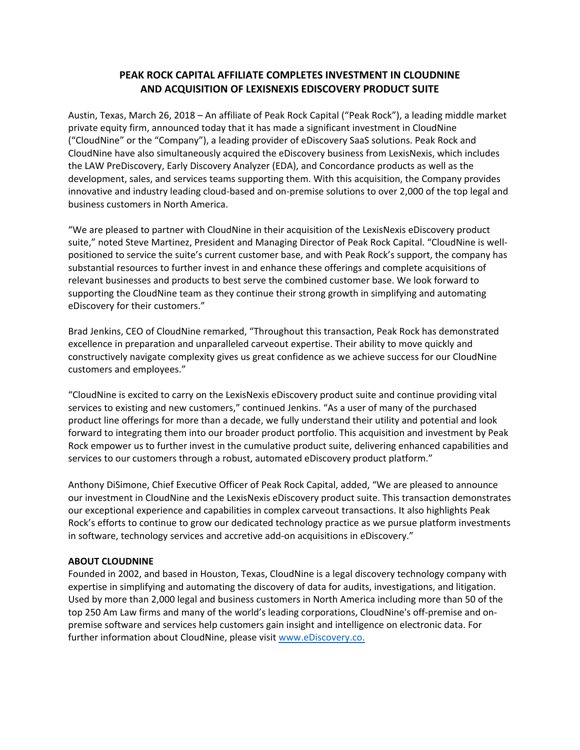## **PEAK ROCK CAPITAL AFFILIATE COMPLETES INVESTMENT IN CLOUDNINE AND ACQUISITION OF LEXISNEXIS EDISCOVERY PRODUCT SUITE**

Austin, Texas, March 26, 2018 – An affiliate of Peak Rock Capital ("Peak Rock"), a leading middle market private equity firm, announced today that it has made a significant investment in CloudNine ("CloudNine" or the "Company"), a leading provider of eDiscovery SaaS solutions. Peak Rock and CloudNine have also simultaneously acquired the eDiscovery business from LexisNexis, which includes the LAW PreDiscovery, Early Discovery Analyzer (EDA), and Concordance products as well as the development, sales, and services teams supporting them. With this acquisition, the Company provides innovative and industry leading cloud‐based and on‐premise solutions to over 2,000 of the top legal and business customers in North America.

"We are pleased to partner with CloudNine in their acquisition of the LexisNexis eDiscovery product suite," noted Steve Martinez, President and Managing Director of Peak Rock Capital. "CloudNine is well‐ positioned to service the suite's current customer base, and with Peak Rock's support, the company has substantial resources to further invest in and enhance these offerings and complete acquisitions of relevant businesses and products to best serve the combined customer base. We look forward to supporting the CloudNine team as they continue their strong growth in simplifying and automating eDiscovery for their customers."

Brad Jenkins, CEO of CloudNine remarked, "Throughout this transaction, Peak Rock has demonstrated excellence in preparation and unparalleled carveout expertise. Their ability to move quickly and constructively navigate complexity gives us great confidence as we achieve success for our CloudNine customers and employees."

"CloudNine is excited to carry on the LexisNexis eDiscovery product suite and continue providing vital services to existing and new customers," continued Jenkins. "As a user of many of the purchased product line offerings for more than a decade, we fully understand their utility and potential and look forward to integrating them into our broader product portfolio. This acquisition and investment by Peak Rock empower us to further invest in the cumulative product suite, delivering enhanced capabilities and services to our customers through a robust, automated eDiscovery product platform."

Anthony DiSimone, Chief Executive Officer of Peak Rock Capital, added, "We are pleased to announce our investment in CloudNine and the LexisNexis eDiscovery product suite. This transaction demonstrates our exceptional experience and capabilities in complex carveout transactions. It also highlights Peak Rock's efforts to continue to grow our dedicated technology practice as we pursue platform investments in software, technology services and accretive add-on acquisitions in eDiscovery."

## **ABOUT CLOUDNINE**

Founded in 2002, and based in Houston, Texas, CloudNine is a legal discovery technology company with expertise in simplifying and automating the discovery of data for audits, investigations, and litigation. Used by more than 2,000 legal and business customers in North America including more than 50 of the top 250 Am Law firms and many of the world's leading corporations, CloudNine's off‐premise and on‐ premise software and services help customers gain insight and intelligence on electronic data. For further information about CloudNine, please visit www.eDiscovery.co.